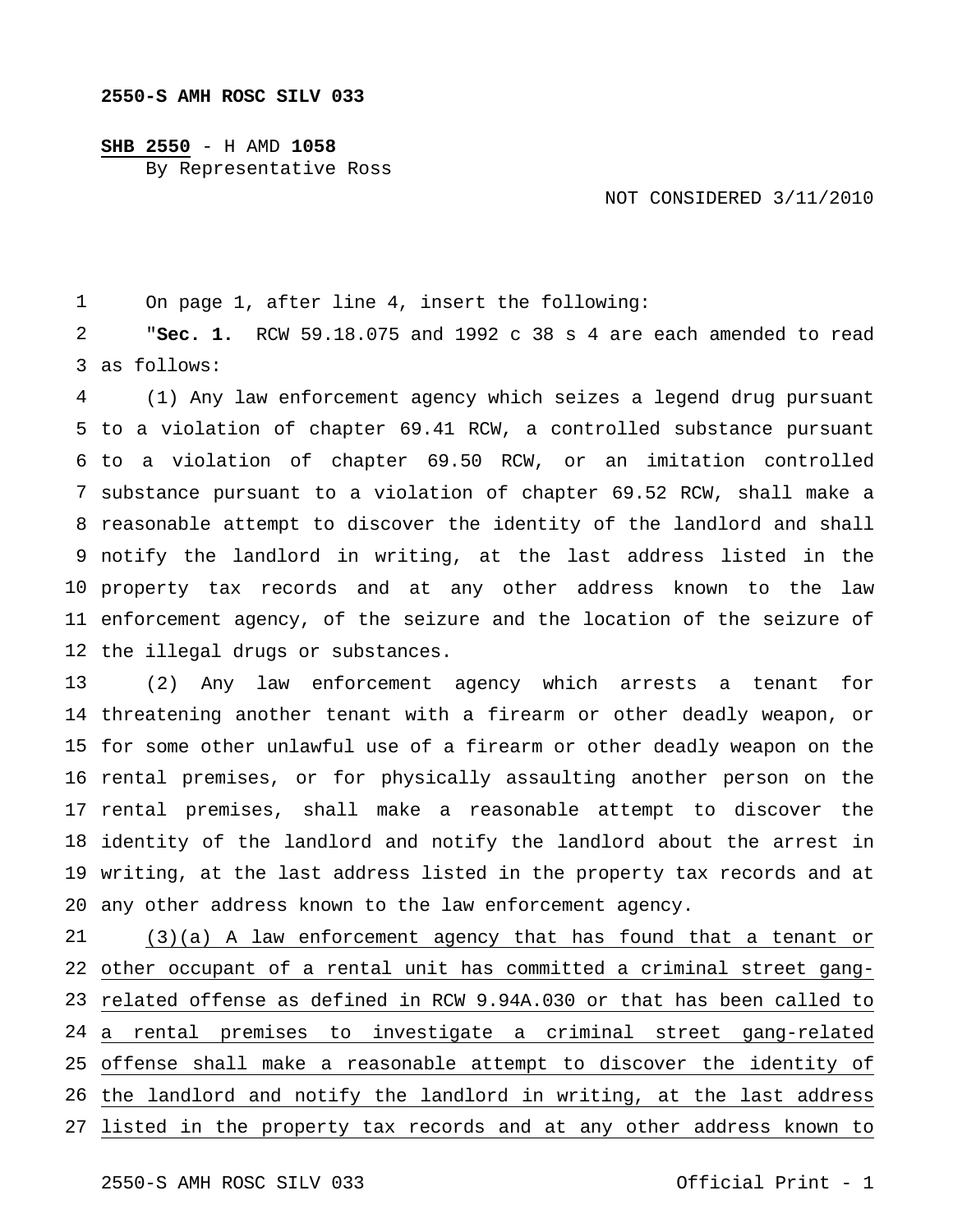## **SHB 2550** - H AMD **1058**

By Representative Ross

## NOT CONSIDERED 3/11/2010

 On page 1, after line 4, insert the following:

 as follows: "**Sec. 1.** RCW 59.18.075 and 1992 c 38 s 4 are each amended to read

 to a violation of chapter 69.41 RCW, a controlled substance pursuant to a violation of chapter 69.50 RCW, or an imitation controlled substance pursuant to a violation of chapter 69.52 RCW, shall make a reasonable attempt to discover the identity of the landlord and shall notify the landlord in writing, at the last address listed in the property tax records and at any other address known to the law enforcement agency, of the seizure and the location of the seizure of the illegal drugs or substances. (1) Any law enforcement agency which seizes a legend drug pursuant

 threatening another tenant with a firearm or other deadly weapon, or for some other unlawful use of a firearm or other deadly weapon on the rental premises, or for physically assaulting another person on the rental premises, shall make a reasonable attempt to discover the identity of the landlord and notify the landlord about the arrest in writing, at the last address listed in the property tax records and at any other address known to the law enforcement agency. (2) Any law enforcement agency which arrests a tenant for

 other occupant of a rental unit has committed a criminal street gang- related offense as defined in RCW 9.94A.030 or that has been called to a rental premises to investigate a criminal street gang-related offense shall make a reasonable attempt to discover the identity of the landlord and notify the landlord in writing, at the last address listed in the property tax records and at any other address known to(3)(a) A law enforcement agency that has found that a tenant or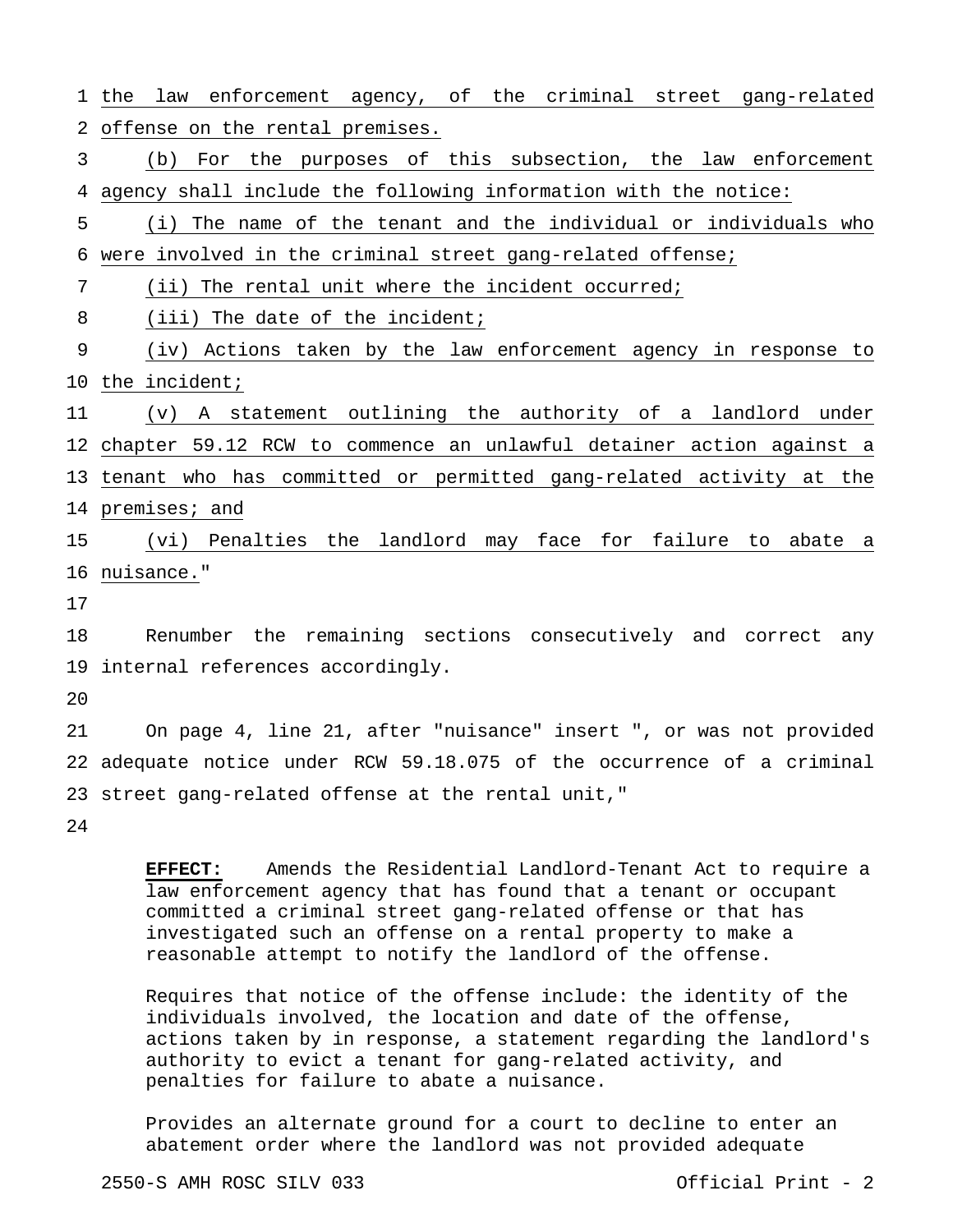1 the law enforcement agency, of the criminal street gang-related 2 offense on the rental premises. 3 4 agency shall include the following information with the notice: 5 6 were involved in the criminal street gang-related offense; 7 8 9 10 the incident; 11 12 chapter 59.12 RCW to commence an unlawful detainer action against a 13 tenant who has committed or permitted gang-related activity at the 14 premises; and 15 16 nuisance." 17 18 19 internal references accordingly.  $20$ 21 22 adequate notice under RCW 59.18.075 of the occurrence of a criminal 23 street gang-related offense at the rental unit," 24 (b) For the purposes of this subsection, the law enforcement (i) The name of the tenant and the individual or individuals who (ii) The rental unit where the incident occurred; (iii) The date of the incident; (iv) Actions taken by the law enforcement agency in response to (v) A statement outlining the authority of a landlord under (vi) Penalties the landlord may face for failure to abate a Renumber the remaining sections consecutively and correct any On page 4, line 21, after "nuisance" insert ", or was not provided

 **EFFECT:** Amends the Residential Landlord-Tenant Act to require a law enforcement agency that has found that a tenant or occupant committed a criminal street gang-related offense or that has investigated such an offense on a rental property to make a reasonable attempt to notify the landlord of the offense.

 Requires that notice of the offense include: the identity of the individuals involved, the location and date of the offense, actions taken by in response, a statement regarding the landlord's authority to evict a tenant for gang-related activity, and penalties for failure to abate a nuisance.

 Provides an alternate ground for a court to decline to enter an abatement order where the landlord was not provided adequate